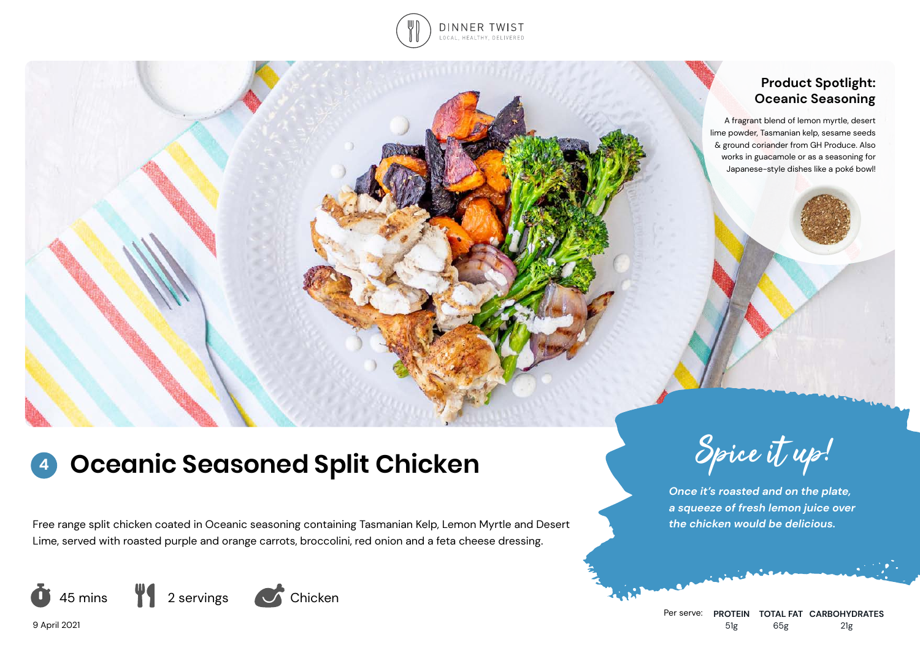

## **Product Spotlight: Oceanic Seasoning**

A fragrant blend of lemon myrtle, desert lime powder, Tasmanian kelp, sesame seeds & ground coriander from GH Produce. Also works in guacamole or as a seasoning for Japanese-style dishes like a poké bowl!

# **Oceanic Seasoned Split Chicken** Spice it up! **4**

Free range split chicken coated in Oceanic seasoning containing Tasmanian Kelp, Lemon Myrtle and Desert Lime, served with roasted purple and orange carrots, broccolini, red onion and a feta cheese dressing.



*Once it's roasted and on the plate, a squeeze of fresh lemon juice over the chicken would be delicious.*